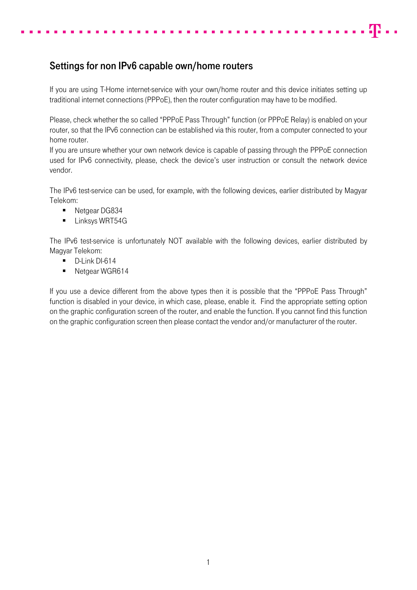## Settings for non IPv6 capable own/home routers

If you are using T-Home internet-service with your own/home router and this device initiates setting up traditional internet connections (PPPoE), then the router configuration may have to be modified.

42 . .

Please, check whether the so called "PPPoE Pass Through" function (or PPPoE Relay) is enabled on your router, so that the IPv6 connection can be established via this router, from a computer connected to your home router.

If you are unsure whether your own network device is capable of passing through the PPPoE connection used for IPv6 connectivity, please, check the device's user instruction or consult the network device vendor.

The IPv6 test-service can be used, for example, with the following devices, earlier distributed by Magyar Telekom:

- Netgear DG834
- **Linksys WRT54G**

The IPv6 test-service is unfortunately NOT available with the following devices, earlier distributed by Magyar Telekom:

- D-Link DI-614
- Netgear WGR614

If you use a device different from the above types then it is possible that the "PPPoE Pass Through" function is disabled in your device, in which case, please, enable it. Find the appropriate setting option on the graphic configuration screen of the router, and enable the function. If you cannot find this function on the graphic configuration screen then please contact the vendor and/or manufacturer of the router.